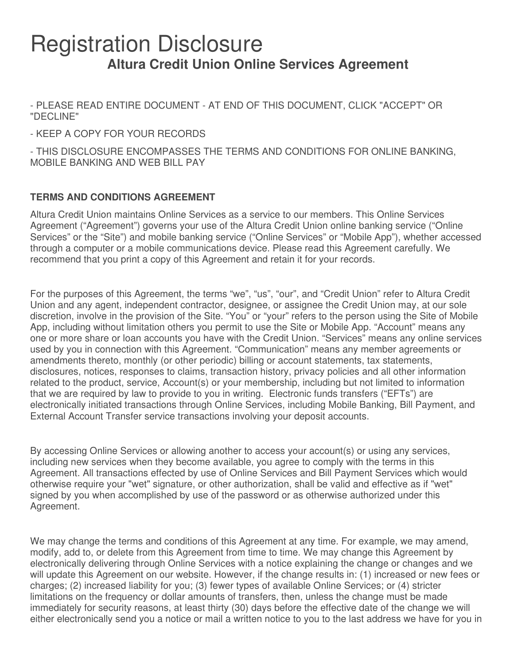# Registration Disclosure **Altura Credit Union Online Services Agreement**

- PLEASE READ ENTIRE DOCUMENT - AT END OF THIS DOCUMENT, CLICK "ACCEPT" OR "DECLINE"

- KEEP A COPY FOR YOUR RECORDS

- THIS DISCLOSURE ENCOMPASSES THE TERMS AND CONDITIONS FOR ONLINE BANKING, MOBILE BANKING AND WEB BILL PAY

# **TERMS AND CONDITIONS AGREEMENT**

Altura Credit Union maintains Online Services as a service to our members. This Online Services Agreement ("Agreement") governs your use of the Altura Credit Union online banking service ("Online Services" or the "Site") and mobile banking service ("Online Services" or "Mobile App"), whether accessed through a computer or a mobile communications device. Please read this Agreement carefully. We recommend that you print a copy of this Agreement and retain it for your records.

For the purposes of this Agreement, the terms "we", "us", "our", and "Credit Union" refer to Altura Credit Union and any agent, independent contractor, designee, or assignee the Credit Union may, at our sole discretion, involve in the provision of the Site. "You" or "your" refers to the person using the Site of Mobile App, including without limitation others you permit to use the Site or Mobile App. "Account" means any one or more share or loan accounts you have with the Credit Union. "Services" means any online services used by you in connection with this Agreement. "Communication" means any member agreements or amendments thereto, monthly (or other periodic) billing or account statements, tax statements, disclosures, notices, responses to claims, transaction history, privacy policies and all other information related to the product, service, Account(s) or your membership, including but not limited to information that we are required by law to provide to you in writing. Electronic funds transfers ("EFTs") are electronically initiated transactions through Online Services, including Mobile Banking, Bill Payment, and External Account Transfer service transactions involving your deposit accounts.

By accessing Online Services or allowing another to access your account(s) or using any services, including new services when they become available, you agree to comply with the terms in this Agreement. All transactions effected by use of Online Services and Bill Payment Services which would otherwise require your "wet" signature, or other authorization, shall be valid and effective as if "wet" signed by you when accomplished by use of the password or as otherwise authorized under this Agreement.

We may change the terms and conditions of this Agreement at any time. For example, we may amend, modify, add to, or delete from this Agreement from time to time. We may change this Agreement by electronically delivering through Online Services with a notice explaining the change or changes and we will update this Agreement on our website. However, if the change results in: (1) increased or new fees or charges; (2) increased liability for you; (3) fewer types of available Online Services; or (4) stricter limitations on the frequency or dollar amounts of transfers, then, unless the change must be made immediately for security reasons, at least thirty (30) days before the effective date of the change we will either electronically send you a notice or mail a written notice to you to the last address we have for you in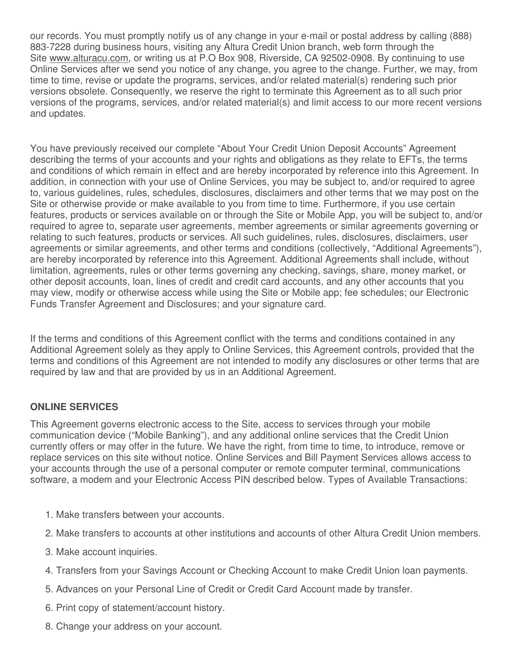our records. You must promptly notify us of any change in your e-mail or postal address by calling (888) 883-7228 during business hours, visiting any Altura Credit Union branch, web form through the Site www.alturacu.com, or writing us at P.O Box 908, Riverside, CA 92502-0908. By continuing to use Online Services after we send you notice of any change, you agree to the change. Further, we may, from time to time, revise or update the programs, services, and/or related material(s) rendering such prior versions obsolete. Consequently, we reserve the right to terminate this Agreement as to all such prior versions of the programs, services, and/or related material(s) and limit access to our more recent versions and updates.

You have previously received our complete "About Your Credit Union Deposit Accounts" Agreement describing the terms of your accounts and your rights and obligations as they relate to EFTs, the terms and conditions of which remain in effect and are hereby incorporated by reference into this Agreement. In addition, in connection with your use of Online Services, you may be subject to, and/or required to agree to, various guidelines, rules, schedules, disclosures, disclaimers and other terms that we may post on the Site or otherwise provide or make available to you from time to time. Furthermore, if you use certain features, products or services available on or through the Site or Mobile App, you will be subject to, and/or required to agree to, separate user agreements, member agreements or similar agreements governing or relating to such features, products or services. All such guidelines, rules, disclosures, disclaimers, user agreements or similar agreements, and other terms and conditions (collectively, "Additional Agreements"), are hereby incorporated by reference into this Agreement. Additional Agreements shall include, without limitation, agreements, rules or other terms governing any checking, savings, share, money market, or other deposit accounts, loan, lines of credit and credit card accounts, and any other accounts that you may view, modify or otherwise access while using the Site or Mobile app; fee schedules; our Electronic Funds Transfer Agreement and Disclosures; and your signature card.

If the terms and conditions of this Agreement conflict with the terms and conditions contained in any Additional Agreement solely as they apply to Online Services, this Agreement controls, provided that the terms and conditions of this Agreement are not intended to modify any disclosures or other terms that are required by law and that are provided by us in an Additional Agreement.

# **ONLINE SERVICES**

This Agreement governs electronic access to the Site, access to services through your mobile communication device ("Mobile Banking"), and any additional online services that the Credit Union currently offers or may offer in the future. We have the right, from time to time, to introduce, remove or replace services on this site without notice. Online Services and Bill Payment Services allows access to your accounts through the use of a personal computer or remote computer terminal, communications software, a modem and your Electronic Access PIN described below. Types of Available Transactions:

- 1. Make transfers between your accounts.
- 2. Make transfers to accounts at other institutions and accounts of other Altura Credit Union members.
- 3. Make account inquiries.
- 4. Transfers from your Savings Account or Checking Account to make Credit Union loan payments.
- 5. Advances on your Personal Line of Credit or Credit Card Account made by transfer.
- 6. Print copy of statement/account history.
- 8. Change your address on your account.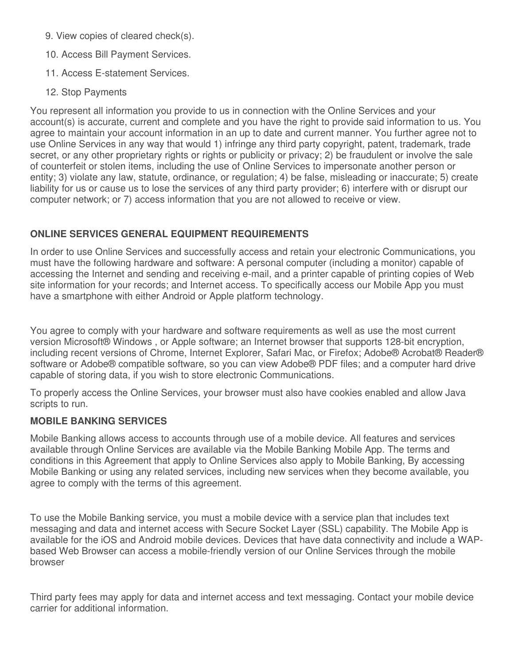- 9. View copies of cleared check(s).
- 10. Access Bill Payment Services.
- 11. Access E-statement Services.
- 12. Stop Payments

You represent all information you provide to us in connection with the Online Services and your account(s) is accurate, current and complete and you have the right to provide said information to us. You agree to maintain your account information in an up to date and current manner. You further agree not to use Online Services in any way that would 1) infringe any third party copyright, patent, trademark, trade secret, or any other proprietary rights or rights or publicity or privacy; 2) be fraudulent or involve the sale of counterfeit or stolen items, including the use of Online Services to impersonate another person or entity; 3) violate any law, statute, ordinance, or regulation; 4) be false, misleading or inaccurate; 5) create liability for us or cause us to lose the services of any third party provider; 6) interfere with or disrupt our computer network; or 7) access information that you are not allowed to receive or view.

# **ONLINE SERVICES GENERAL EQUIPMENT REQUIREMENTS**

In order to use Online Services and successfully access and retain your electronic Communications, you must have the following hardware and software: A personal computer (including a monitor) capable of accessing the Internet and sending and receiving e-mail, and a printer capable of printing copies of Web site information for your records; and Internet access. To specifically access our Mobile App you must have a smartphone with either Android or Apple platform technology.

You agree to comply with your hardware and software requirements as well as use the most current version Microsoft® Windows , or Apple software; an Internet browser that supports 128-bit encryption, including recent versions of Chrome, Internet Explorer, Safari Mac, or Firefox; Adobe® Acrobat® Reader® software or Adobe® compatible software, so you can view Adobe® PDF files; and a computer hard drive capable of storing data, if you wish to store electronic Communications.

To properly access the Online Services, your browser must also have cookies enabled and allow Java scripts to run.

# **MOBILE BANKING SERVICES**

Mobile Banking allows access to accounts through use of a mobile device. All features and services available through Online Services are available via the Mobile Banking Mobile App. The terms and conditions in this Agreement that apply to Online Services also apply to Mobile Banking, By accessing Mobile Banking or using any related services, including new services when they become available, you agree to comply with the terms of this agreement.

To use the Mobile Banking service, you must a mobile device with a service plan that includes text messaging and data and internet access with Secure Socket Layer (SSL) capability. The Mobile App is available for the iOS and Android mobile devices. Devices that have data connectivity and include a WAPbased Web Browser can access a mobile-friendly version of our Online Services through the mobile browser

Third party fees may apply for data and internet access and text messaging. Contact your mobile device carrier for additional information.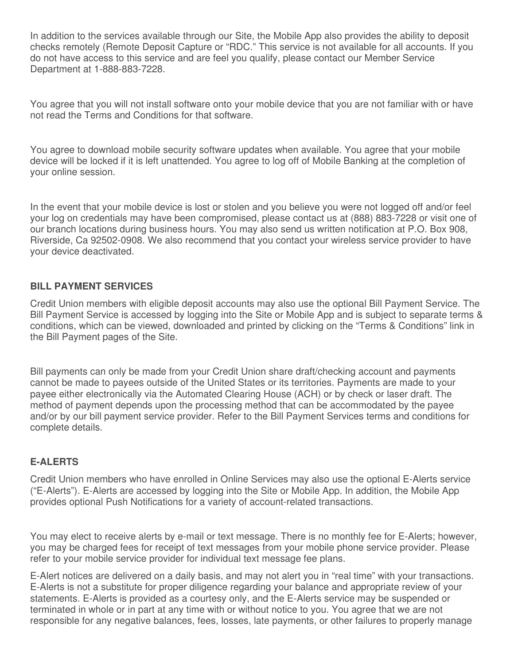In addition to the services available through our Site, the Mobile App also provides the ability to deposit checks remotely (Remote Deposit Capture or "RDC." This service is not available for all accounts. If you do not have access to this service and are feel you qualify, please contact our Member Service Department at 1-888-883-7228.

You agree that you will not install software onto your mobile device that you are not familiar with or have not read the Terms and Conditions for that software.

You agree to download mobile security software updates when available. You agree that your mobile device will be locked if it is left unattended. You agree to log off of Mobile Banking at the completion of your online session.

In the event that your mobile device is lost or stolen and you believe you were not logged off and/or feel your log on credentials may have been compromised, please contact us at (888) 883-7228 or visit one of our branch locations during business hours. You may also send us written notification at P.O. Box 908, Riverside, Ca 92502-0908. We also recommend that you contact your wireless service provider to have your device deactivated.

## **BILL PAYMENT SERVICES**

Credit Union members with eligible deposit accounts may also use the optional Bill Payment Service. The Bill Payment Service is accessed by logging into the Site or Mobile App and is subject to separate terms & conditions, which can be viewed, downloaded and printed by clicking on the "Terms & Conditions" link in the Bill Payment pages of the Site.

Bill payments can only be made from your Credit Union share draft/checking account and payments cannot be made to payees outside of the United States or its territories. Payments are made to your payee either electronically via the Automated Clearing House (ACH) or by check or laser draft. The method of payment depends upon the processing method that can be accommodated by the payee and/or by our bill payment service provider. Refer to the Bill Payment Services terms and conditions for complete details.

## **E-ALERTS**

Credit Union members who have enrolled in Online Services may also use the optional E-Alerts service ("E-Alerts"). E-Alerts are accessed by logging into the Site or Mobile App. In addition, the Mobile App provides optional Push Notifications for a variety of account-related transactions.

You may elect to receive alerts by e-mail or text message. There is no monthly fee for E-Alerts; however, you may be charged fees for receipt of text messages from your mobile phone service provider. Please refer to your mobile service provider for individual text message fee plans.

E-Alert notices are delivered on a daily basis, and may not alert you in "real time" with your transactions. E-Alerts is not a substitute for proper diligence regarding your balance and appropriate review of your statements. E-Alerts is provided as a courtesy only, and the E-Alerts service may be suspended or terminated in whole or in part at any time with or without notice to you. You agree that we are not responsible for any negative balances, fees, losses, late payments, or other failures to properly manage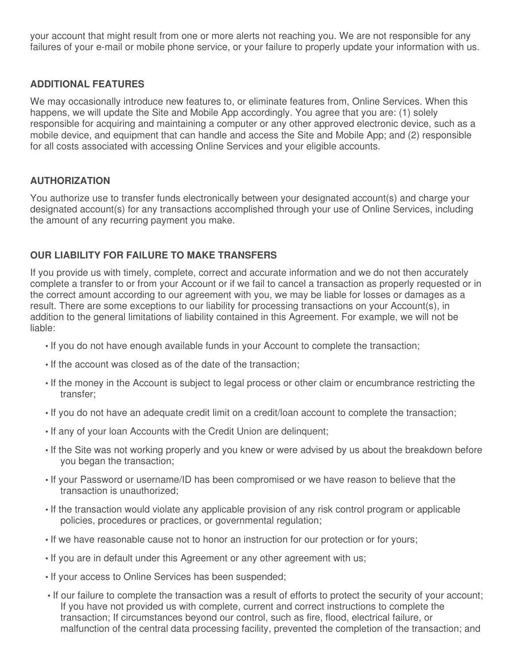your account that might result from one or more alerts not reaching you. We are not responsible for any failures of your e-mail or mobile phone service, or your failure to properly update your information with us.

## **ADDITIONAL FEATURES**

We may occasionally introduce new features to, or eliminate features from, Online Services. When this happens, we will update the Site and Mobile App accordingly. You agree that you are: (1) solely responsible for acquiring and maintaining a computer or any other approved electronic device, such as a mobile device, and equipment that can handle and access the Site and Mobile App; and (2) responsible for all costs associated with accessing Online Services and your eligible accounts.

## **AUTHORIZATION**

You authorize use to transfer funds electronically between your designated account(s) and charge your designated account(s) for any transactions accomplished through your use of Online Services, including the amount of any recurring payment you make.

## **OUR LIABILITY FOR FAILURE TO MAKE TRANSFERS**

If you provide us with timely, complete, correct and accurate information and we do not then accurately complete a transfer to or from your Account or if we fail to cancel a transaction as properly requested or in the correct amount according to our agreement with you, we may be liable for losses or damages as a result. There are some exceptions to our liability for processing transactions on your Account(s), in addition to the general limitations of liability contained in this Agreement. For example, we will not be liable:

- If you do not have enough available funds in your Account to complete the transaction;
- If the account was closed as of the date of the transaction;
- If the money in the Account is subject to legal process or other claim or encumbrance restricting the transfer;
- If you do not have an adequate credit limit on a credit/loan account to complete the transaction;
- If any of your loan Accounts with the Credit Union are delinquent;
- If the Site was not working properly and you knew or were advised by us about the breakdown before you began the transaction;
- If your Password or username/ID has been compromised or we have reason to believe that the transaction is unauthorized;
- If the transaction would violate any applicable provision of any risk control program or applicable policies, procedures or practices, or governmental regulation;
- If we have reasonable cause not to honor an instruction for our protection or for yours;
- If you are in default under this Agreement or any other agreement with us;
- If your access to Online Services has been suspended;
- If our failure to complete the transaction was a result of efforts to protect the security of your account; If you have not provided us with complete, current and correct instructions to complete the transaction; If circumstances beyond our control, such as fire, flood, electrical failure, or malfunction of the central data processing facility, prevented the completion of the transaction; and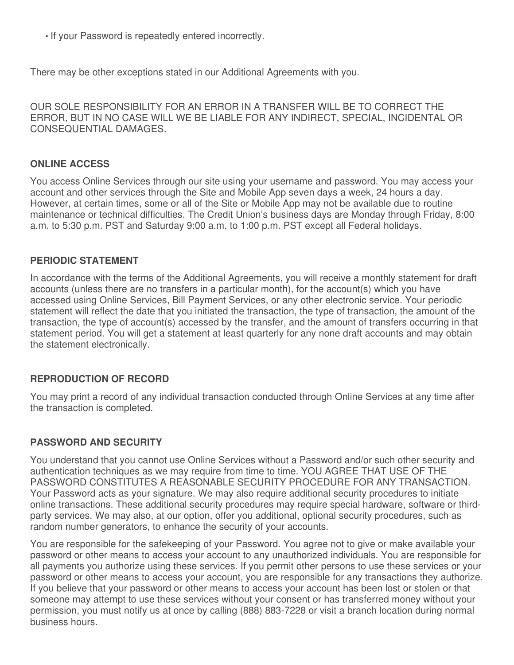• If your Password is repeatedly entered incorrectly.

There may be other exceptions stated in our Additional Agreements with you.

OUR SOLE RESPONSIBILITY FOR AN ERROR IN A TRANSFER WILL BE TO CORRECT THE ERROR, BUT IN NO CASE WILL WE BE LIABLE FOR ANY INDIRECT, SPECIAL, INCIDENTAL OR CONSEQUENTIAL DAMAGES.

#### **ONLINE ACCESS**

You access Online Services through our site using your username and password. You may access your account and other services through the Site and Mobile App seven days a week, 24 hours a day. However, at certain times, some or all of the Site or Mobile App may not be available due to routine maintenance or technical difficulties. The Credit Union's business days are Monday through Friday, 8:00 a.m. to 5:30 p.m. PST and Saturday 9:00 a.m. to 1:00 p.m. PST except all Federal holidays.

#### **PERIODIC STATEMENT**

In accordance with the terms of the Additional Agreements, you will receive a monthly statement for draft accounts (unless there are no transfers in a particular month), for the account(s) which you have accessed using Online Services, Bill Payment Services, or any other electronic service. Your periodic statement will reflect the date that you initiated the transaction, the type of transaction, the amount of the transaction, the type of account(s) accessed by the transfer, and the amount of transfers occurring in that statement period. You will get a statement at least quarterly for any none draft accounts and may obtain the statement electronically.

## **REPRODUCTION OF RECORD**

You may print a record of any individual transaction conducted through Online Services at any time after the transaction is completed.

#### **PASSWORD AND SECURITY**

You understand that you cannot use Online Services without a Password and/or such other security and authentication techniques as we may require from time to time. YOU AGREE THAT USE OF THE PASSWORD CONSTITUTES A REASONABLE SECURITY PROCEDURE FOR ANY TRANSACTION. Your Password acts as your signature. We may also require additional security procedures to initiate online transactions. These additional security procedures may require special hardware, software or thirdparty services. We may also, at our option, offer you additional, optional security procedures, such as random number generators, to enhance the security of your accounts.

You are responsible for the safekeeping of your Password. You agree not to give or make available your password or other means to access your account to any unauthorized individuals. You are responsible for all payments you authorize using these services. If you permit other persons to use these services or your password or other means to access your account, you are responsible for any transactions they authorize. If you believe that your password or other means to access your account has been lost or stolen or that someone may attempt to use these services without your consent or has transferred money without your permission, you must notify us at once by calling (888) 883-7228 or visit a branch location during normal business hours.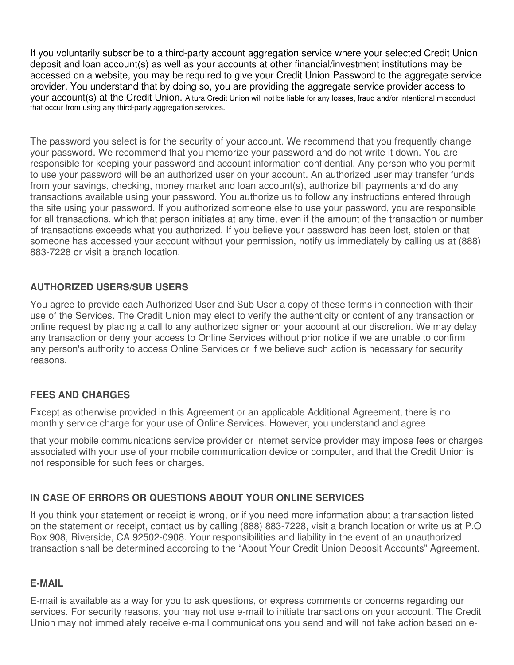If you voluntarily subscribe to a third-party account aggregation service where your selected Credit Union deposit and loan account(s) as well as your accounts at other financial/investment institutions may be accessed on a website, you may be required to give your Credit Union Password to the aggregate service provider. You understand that by doing so, you are providing the aggregate service provider access to your account(s) at the Credit Union. Altura Credit Union will not be liable for any losses, fraud and/or intentional misconduct that occur from using any third-party aggregation services.

The password you select is for the security of your account. We recommend that you frequently change your password. We recommend that you memorize your password and do not write it down. You are responsible for keeping your password and account information confidential. Any person who you permit to use your password will be an authorized user on your account. An authorized user may transfer funds from your savings, checking, money market and loan account(s), authorize bill payments and do any transactions available using your password. You authorize us to follow any instructions entered through the site using your password. If you authorized someone else to use your password, you are responsible for all transactions, which that person initiates at any time, even if the amount of the transaction or number of transactions exceeds what you authorized. If you believe your password has been lost, stolen or that someone has accessed your account without your permission, notify us immediately by calling us at (888) 883-7228 or visit a branch location.

## **AUTHORIZED USERS/SUB USERS**

You agree to provide each Authorized User and Sub User a copy of these terms in connection with their use of the Services. The Credit Union may elect to verify the authenticity or content of any transaction or online request by placing a call to any authorized signer on your account at our discretion. We may delay any transaction or deny your access to Online Services without prior notice if we are unable to confirm any person's authority to access Online Services or if we believe such action is necessary for security reasons.

## **FEES AND CHARGES**

Except as otherwise provided in this Agreement or an applicable Additional Agreement, there is no monthly service charge for your use of Online Services. However, you understand and agree

that your mobile communications service provider or internet service provider may impose fees or charges associated with your use of your mobile communication device or computer, and that the Credit Union is not responsible for such fees or charges.

# **IN CASE OF ERRORS OR QUESTIONS ABOUT YOUR ONLINE SERVICES**

If you think your statement or receipt is wrong, or if you need more information about a transaction listed on the statement or receipt, contact us by calling (888) 883-7228, visit a branch location or write us at P.O Box 908, Riverside, CA 92502-0908. Your responsibilities and liability in the event of an unauthorized transaction shall be determined according to the "About Your Credit Union Deposit Accounts" Agreement.

## **E-MAIL**

E-mail is available as a way for you to ask questions, or express comments or concerns regarding our services. For security reasons, you may not use e-mail to initiate transactions on your account. The Credit Union may not immediately receive e-mail communications you send and will not take action based on e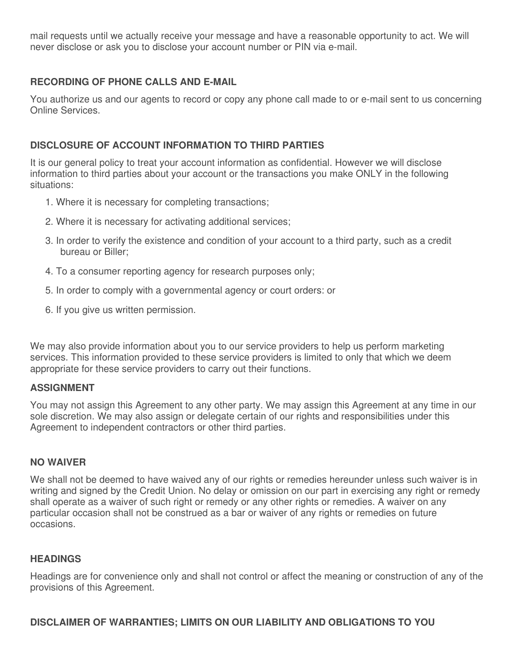mail requests until we actually receive your message and have a reasonable opportunity to act. We will never disclose or ask you to disclose your account number or PIN via e-mail.

## **RECORDING OF PHONE CALLS AND E-MAIL**

You authorize us and our agents to record or copy any phone call made to or e-mail sent to us concerning Online Services.

## **DISCLOSURE OF ACCOUNT INFORMATION TO THIRD PARTIES**

It is our general policy to treat your account information as confidential. However we will disclose information to third parties about your account or the transactions you make ONLY in the following situations:

- 1. Where it is necessary for completing transactions;
- 2. Where it is necessary for activating additional services;
- 3. In order to verify the existence and condition of your account to a third party, such as a credit bureau or Biller;
- 4. To a consumer reporting agency for research purposes only;
- 5. In order to comply with a governmental agency or court orders: or
- 6. If you give us written permission.

We may also provide information about you to our service providers to help us perform marketing services. This information provided to these service providers is limited to only that which we deem appropriate for these service providers to carry out their functions.

## **ASSIGNMENT**

You may not assign this Agreement to any other party. We may assign this Agreement at any time in our sole discretion. We may also assign or delegate certain of our rights and responsibilities under this Agreement to independent contractors or other third parties.

## **NO WAIVER**

We shall not be deemed to have waived any of our rights or remedies hereunder unless such waiver is in writing and signed by the Credit Union. No delay or omission on our part in exercising any right or remedy shall operate as a waiver of such right or remedy or any other rights or remedies. A waiver on any particular occasion shall not be construed as a bar or waiver of any rights or remedies on future occasions.

## **HEADINGS**

Headings are for convenience only and shall not control or affect the meaning or construction of any of the provisions of this Agreement.

## **DISCLAIMER OF WARRANTIES; LIMITS ON OUR LIABILITY AND OBLIGATIONS TO YOU**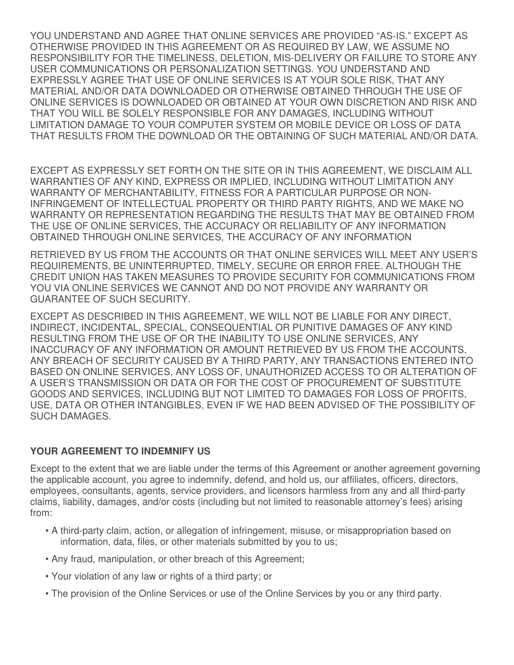YOU UNDERSTAND AND AGREE THAT ONLINE SERVICES ARE PROVIDED "AS-IS." EXCEPT AS OTHERWISE PROVIDED IN THIS AGREEMENT OR AS REQUIRED BY LAW, WE ASSUME NO RESPONSIBILITY FOR THE TIMELINESS, DELETION, MIS-DELIVERY OR FAILURE TO STORE ANY USER COMMUNICATIONS OR PERSONALIZATION SETTINGS. YOU UNDERSTAND AND EXPRESSLY AGREE THAT USE OF ONLINE SERVICES IS AT YOUR SOLE RISK, THAT ANY MATERIAL AND/OR DATA DOWNLOADED OR OTHERWISE OBTAINED THROUGH THE USE OF ONLINE SERVICES IS DOWNLOADED OR OBTAINED AT YOUR OWN DISCRETION AND RISK AND THAT YOU WILL BE SOLELY RESPONSIBLE FOR ANY DAMAGES, INCLUDING WITHOUT LIMITATION DAMAGE TO YOUR COMPUTER SYSTEM OR MOBILE DEVICE OR LOSS OF DATA THAT RESULTS FROM THE DOWNLOAD OR THE OBTAINING OF SUCH MATERIAL AND/OR DATA.

EXCEPT AS EXPRESSLY SET FORTH ON THE SITE OR IN THIS AGREEMENT, WE DISCLAIM ALL WARRANTIES OF ANY KIND, EXPRESS OR IMPLIED, INCLUDING WITHOUT LIMITATION ANY WARRANTY OF MERCHANTABILITY, FITNESS FOR A PARTICULAR PURPOSE OR NON-INFRINGEMENT OF INTELLECTUAL PROPERTY OR THIRD PARTY RIGHTS, AND WE MAKE NO WARRANTY OR REPRESENTATION REGARDING THE RESULTS THAT MAY BE OBTAINED FROM THE USE OF ONLINE SERVICES, THE ACCURACY OR RELIABILITY OF ANY INFORMATION OBTAINED THROUGH ONLINE SERVICES, THE ACCURACY OF ANY INFORMATION

RETRIEVED BY US FROM THE ACCOUNTS OR THAT ONLINE SERVICES WILL MEET ANY USER'S REQUIREMENTS, BE UNINTERRUPTED, TIMELY, SECURE OR ERROR FREE. ALTHOUGH THE CREDIT UNION HAS TAKEN MEASURES TO PROVIDE SECURITY FOR COMMUNICATIONS FROM YOU VIA ONLINE SERVICES WE CANNOT AND DO NOT PROVIDE ANY WARRANTY OR GUARANTEE OF SUCH SECURITY.

EXCEPT AS DESCRIBED IN THIS AGREEMENT, WE WILL NOT BE LIABLE FOR ANY DIRECT, INDIRECT, INCIDENTAL, SPECIAL, CONSEQUENTIAL OR PUNITIVE DAMAGES OF ANY KIND RESULTING FROM THE USE OF OR THE INABILITY TO USE ONLINE SERVICES, ANY INACCURACY OF ANY INFORMATION OR AMOUNT RETRIEVED BY US FROM THE ACCOUNTS, ANY BREACH OF SECURITY CAUSED BY A THIRD PARTY, ANY TRANSACTIONS ENTERED INTO BASED ON ONLINE SERVICES, ANY LOSS OF, UNAUTHORIZED ACCESS TO OR ALTERATION OF A USER'S TRANSMISSION OR DATA OR FOR THE COST OF PROCUREMENT OF SUBSTITUTE GOODS AND SERVICES, INCLUDING BUT NOT LIMITED TO DAMAGES FOR LOSS OF PROFITS, USE, DATA OR OTHER INTANGIBLES, EVEN IF WE HAD BEEN ADVISED OF THE POSSIBILITY OF SUCH DAMAGES.

## **YOUR AGREEMENT TO INDEMNIFY US**

Except to the extent that we are liable under the terms of this Agreement or another agreement governing the applicable account, you agree to indemnify, defend, and hold us, our affiliates, officers, directors, employees, consultants, agents, service providers, and licensors harmless from any and all third-party claims, liability, damages, and/or costs (including but not limited to reasonable attorney's fees) arising from:

- A third-party claim, action, or allegation of infringement, misuse, or misappropriation based on information, data, files, or other materials submitted by you to us;
- Any fraud, manipulation, or other breach of this Agreement;
- Your violation of any law or rights of a third party; or
- The provision of the Online Services or use of the Online Services by you or any third party.